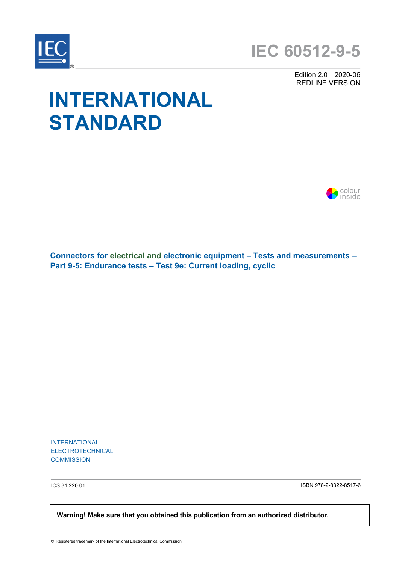



Edition 2.0 2020-06 REDLINE VERSION

# **INTERNATIONAL STANDARD**



**Connectors for electrical and electronic equipment – Tests and measurements – Part 9-5: Endurance tests – Test 9e: Current loading, cyclic** 

INTERNATIONAL ELECTROTECHNICAL **COMMISSION** 

ICS 31.220.01 ISBN 978-2-8322-8517-6

 **Warning! Make sure that you obtained this publication from an authorized distributor.**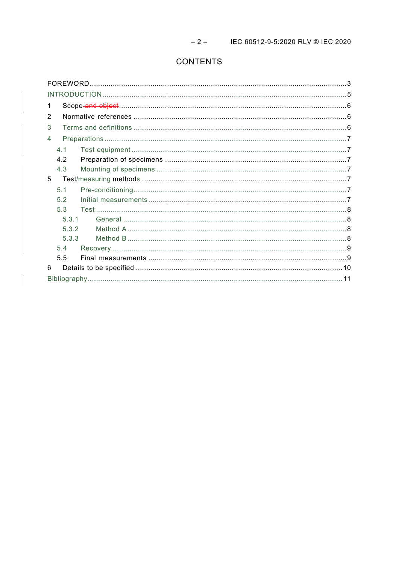# $-2 -$  IEC 60512-9-5:2020 RLV © IEC 2020

# CONTENTS

| 1              |  |  |  |  |
|----------------|--|--|--|--|
| 2              |  |  |  |  |
| 3              |  |  |  |  |
| 4              |  |  |  |  |
| 4 <sub>1</sub> |  |  |  |  |
| 4.2            |  |  |  |  |
| 4.3            |  |  |  |  |
| 5              |  |  |  |  |
| 5.1            |  |  |  |  |
| 5.2            |  |  |  |  |
| 5.3            |  |  |  |  |
| 5.3.1          |  |  |  |  |
| 5.3.2          |  |  |  |  |
| 5.3.3          |  |  |  |  |
| 5.4            |  |  |  |  |
| 5.5            |  |  |  |  |
| 6              |  |  |  |  |
|                |  |  |  |  |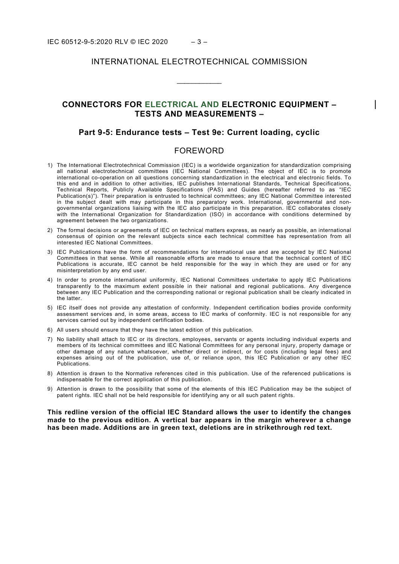## INTERNATIONAL ELECTROTECHNICAL COMMISSION

\_\_\_\_\_\_\_\_\_\_\_\_

## **CONNECTORS FOR ELECTRICAL AND ELECTRONIC EQUIPMENT – TESTS AND MEASUREMENTS –**

#### **Part 9-5: Endurance tests – Test 9e: Current loading, cyclic**

#### FOREWORD

- <span id="page-2-0"></span>1) The International Electrotechnical Commission (IEC) is a worldwide organization for standardization comprising all national electrotechnical committees (IEC National Committees). The object of IEC is to promote international co-operation on all questions concerning standardization in the electrical and electronic fields. To this end and in addition to other activities, IEC publishes International Standards, Technical Specifications, Technical Reports, Publicly Available Specifications (PAS) and Guides (hereafter referred to as "IEC Publication(s)"). Their preparation is entrusted to technical committees; any IEC National Committee interested in the subject dealt with may participate in this preparatory work. International, governmental and nongovernmental organizations liaising with the IEC also participate in this preparation. IEC collaborates closely with the International Organization for Standardization (ISO) in accordance with conditions determined by agreement between the two organizations.
- 2) The formal decisions or agreements of IEC on technical matters express, as nearly as possible, an international consensus of opinion on the relevant subjects since each technical committee has representation from all interested IEC National Committees.
- 3) IEC Publications have the form of recommendations for international use and are accepted by IEC National Committees in that sense. While all reasonable efforts are made to ensure that the technical content of IEC Publications is accurate, IEC cannot be held responsible for the way in which they are used or for any misinterpretation by any end user.
- 4) In order to promote international uniformity, IEC National Committees undertake to apply IEC Publications transparently to the maximum extent possible in their national and regional publications. Any divergence between any IEC Publication and the corresponding national or regional publication shall be clearly indicated in the latter.
- 5) IEC itself does not provide any attestation of conformity. Independent certification bodies provide conformity assessment services and, in some areas, access to IEC marks of conformity. IEC is not responsible for any services carried out by independent certification bodies.
- 6) All users should ensure that they have the latest edition of this publication.
- 7) No liability shall attach to IEC or its directors, employees, servants or agents including individual experts and members of its technical committees and IEC National Committees for any personal injury, property damage or other damage of any nature whatsoever, whether direct or indirect, or for costs (including legal fees) and expenses arising out of the publication, use of, or reliance upon, this IEC Publication or any other IEC Publications.
- 8) Attention is drawn to the Normative references cited in this publication. Use of the referenced publications is indispensable for the correct application of this publication.
- 9) Attention is drawn to the possibility that some of the elements of this IEC Publication may be the subject of patent rights. IEC shall not be held responsible for identifying any or all such patent rights.

**This redline version of the official IEC Standard allows the user to identify the changes made to the previous edition. A vertical bar appears in the margin wherever a change has been made. Additions are in green text, deletions are in strikethrough red text.**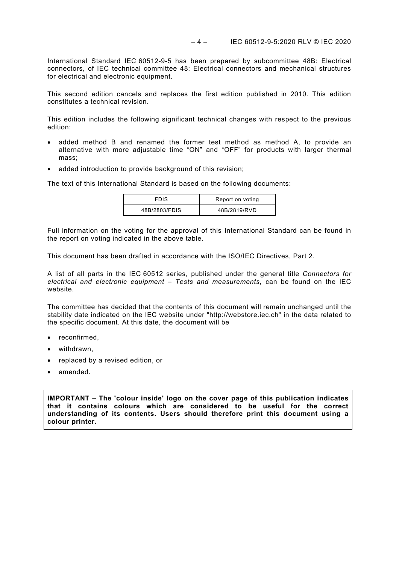International Standard IEC 60512-9-5 has been prepared by subcommittee 48B: Electrical connectors, of IEC technical committee 48: Electrical connectors and mechanical structures for electrical and electronic equipment.

This second edition cancels and replaces the first edition published in 2010. This edition constitutes a technical revision.

This edition includes the following significant technical changes with respect to the previous edition:

- added method B and renamed the former test method as method A, to provide an alternative with more adjustable time "ON" and "OFF" for products with larger thermal mass;
- added introduction to provide background of this revision;

The text of this International Standard is based on the following documents:

| FDIS          | Report on voting |
|---------------|------------------|
| 48B/2803/FDIS | 48B/2819/RVD     |

Full information on the voting for the approval of this International Standard can be found in the report on voting indicated in the above table.

This document has been drafted in accordance with the ISO/IEC Directives, Part 2.

A list of all parts in the IEC 60512 series, published under the general title *Connectors for electrical and electronic equipment – Tests and measurements*, can be found on the IEC website.

The committee has decided that the contents of this document will remain unchanged until the stability date indicated on the IEC website under "http://webstore.iec.ch" in the data related to the specific document. At this date, the document will be

- reconfirmed,
- withdrawn,
- replaced by a revised edition, or
- amended.

**IMPORTANT – The 'colour inside' logo on the cover page of this publication indicates that it contains colours which are considered to be useful for the correct understanding of its contents. Users should therefore print this document using a colour printer.**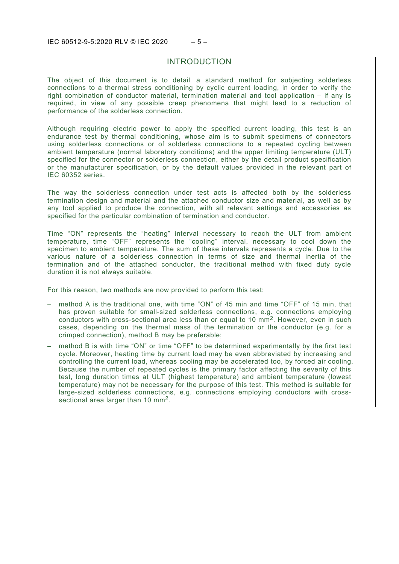#### <span id="page-4-0"></span>IEC 60512-9-5:2020 RLV © IEC 2020 – 5 –

#### INTRODUCTION

The object of this document is to detail a standard method for subjecting solderless connections to a thermal stress conditioning by cyclic current loading, in order to verify the right combination of conductor material, termination material and tool application – if any is required, in view of any possible creep phenomena that might lead to a reduction of performance of the solderless connection.

Although requiring electric power to apply the specified current loading, this test is an endurance test by thermal conditioning, whose aim is to submit specimens of connectors using solderless connections or of solderless connections to a repeated cycling between ambient temperature (normal laboratory conditions) and the upper limiting temperature (ULT) specified for the connector or solderless connection, either by the detail product specification or the manufacturer specification, or by the default values provided in the relevant part of IEC 60352 series.

The way the solderless connection under test acts is affected both by the solderless termination design and material and the attached conductor size and material, as well as by any tool applied to produce the connection, with all relevant settings and accessories as specified for the particular combination of termination and conductor.

Time "ON" represents the "heating" interval necessary to reach the ULT from ambient temperature, time "OFF" represents the "cooling" interval, necessary to cool down the specimen to ambient temperature. The sum of these intervals represents a cycle. Due to the various nature of a solderless connection in terms of size and thermal inertia of the termination and of the attached conductor, the traditional method with fixed duty cycle duration it is not always suitable.

For this reason, two methods are now provided to perform this test:

- method A is the traditional one, with time "ON" of 45 min and time "OFF" of 15 min, that has proven suitable for small-sized solderless connections, e.g. connections employing conductors with cross-sectional area less than or equal to 10 mm<sup>2</sup>. However, even in such cases, depending on the thermal mass of the termination or the conductor (e.g. for a crimped connection), method B may be preferable;
- method B is with time "ON" or time "OFF" to be determined experimentally by the first test cycle. Moreover, heating time by current load may be even abbreviated by increasing and controlling the current load, whereas cooling may be accelerated too, by forced air cooling. Because the number of repeated cycles is the primary factor affecting the severity of this test, long duration times at ULT (highest temperature) and ambient temperature (lowest temperature) may not be necessary for the purpose of this test. This method is suitable for large-sized solderless connections, e.g. connections employing conductors with crosssectional area larger than 10 mm2.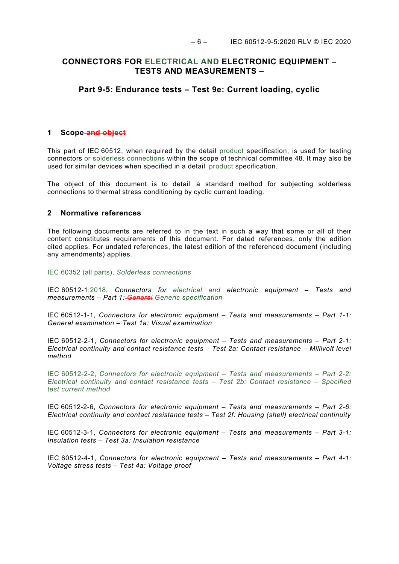# **CONNECTORS FOR ELECTRICAL AND ELECTRONIC EQUIPMENT – TESTS AND MEASUREMENTS –**

#### **Part 9-5: Endurance tests – Test 9e: Current loading, cyclic**

#### <span id="page-5-0"></span>**1 Scope and object**

This part of IEC 60512, when required by the detail product specification, is used for testing connectors or solderless connections within the scope of technical committee 48. It may also be used for similar devices when specified in a detail product specification.

The object of this document is to detail a standard method for subjecting solderless connections to thermal stress conditioning by cyclic current loading.

#### <span id="page-5-1"></span>**2 Normative references**

The following documents are referred to in the text in such a way that some or all of their content constitutes requirements of this document. For dated references, only the edition cited applies. For undated references, the latest edition of the referenced document (including any amendments) applies.

IEC 60352 (all parts), *Solderless connections*

IEC 60512-1:2018, *Connectors for electrical and electronic equipment – Tests and measurements – Part 1: General Generic specification*

IEC 60512-1-1, *Connectors for electronic equipment – Tests and measurements – Part 1-1: General examination – Test 1a: Visual examination*

IEC 60512-2-1, *Connectors for electronic equipment – Tests and measurements – Part 2-1: Electrical continuity and contact resistance tests – Test 2a: Contact resistance – Millivolt level method*

IEC 60512-2-2, *Connectors for electronic equipment – Tests and measurements – Part 2-2: Electrical continuity and contact resistance tests – Test 2b: Contact resistance – Specified test current method*

IEC 60512-2-6, *Connectors for electronic equipment – Tests and measurements – Part 2-6: Electrical continuity and contact resistance tests – Test 2f: Housing (shell) electrical continuity*

IEC 60512-3-1, *Connectors for electronic equipment – Tests and measurements – Part 3-1: Insulation tests – Test 3a: Insulation resistance*

<span id="page-5-2"></span>IEC 60512-4-1, *Connectors for electronic equipment – Tests and measurements – Part 4-1: Voltage stress tests – Test 4a: Voltage proof*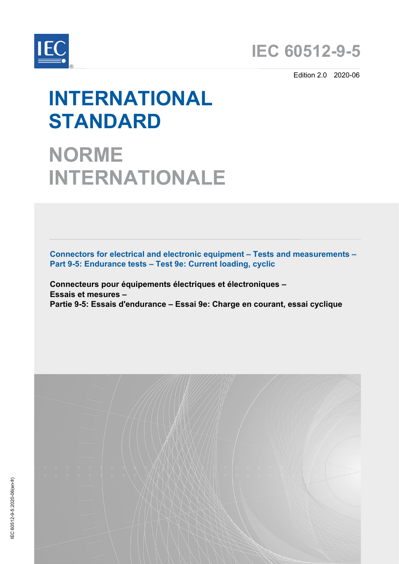

Edition 2.0 2020-06

# **INTERNATIONAL STANDARD**

# **NORME INTERNATIONALE**

**Connectors for electrical and electronic equipment – Tests and measurements – Part 9-5: Endurance tests – Test 9e: Current loading, cyclic** 

**Connecteurs pour équipements électriques et électroniques – Essais et mesures – Partie 9-5: Essais d'endurance – Essai 9e: Charge en courant, essai cyclique** 

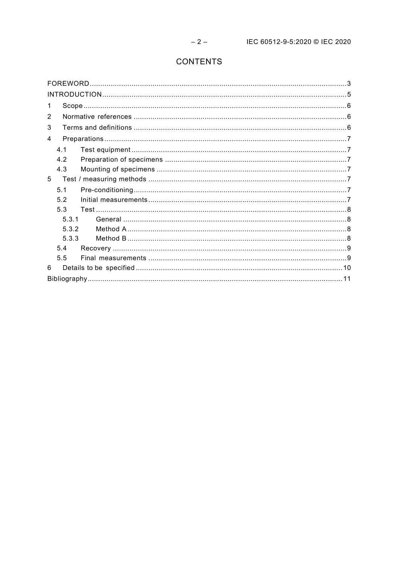# CONTENTS

| 1   |       |  |  |  |  |  |
|-----|-------|--|--|--|--|--|
| 2   |       |  |  |  |  |  |
| 3   |       |  |  |  |  |  |
| 4   |       |  |  |  |  |  |
| 4.1 |       |  |  |  |  |  |
|     | 4.2   |  |  |  |  |  |
|     | 4.3   |  |  |  |  |  |
| 5   |       |  |  |  |  |  |
|     | 5.1   |  |  |  |  |  |
|     | 5.2   |  |  |  |  |  |
|     | 5.3   |  |  |  |  |  |
|     | 5.3.1 |  |  |  |  |  |
|     | 5.3.2 |  |  |  |  |  |
|     | 5.3.3 |  |  |  |  |  |
|     | 5.4   |  |  |  |  |  |
|     | 5.5   |  |  |  |  |  |
| 6   |       |  |  |  |  |  |
|     |       |  |  |  |  |  |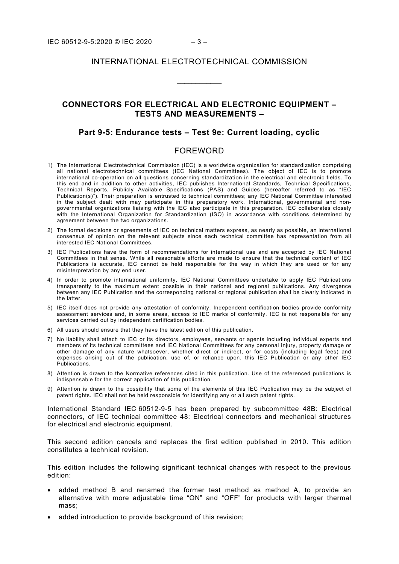## INTERNATIONAL ELECTROTECHNICAL COMMISSION

\_\_\_\_\_\_\_\_\_\_\_\_

# **CONNECTORS FOR ELECTRICAL AND ELECTRONIC EQUIPMENT – TESTS AND MEASUREMENTS –**

#### **Part 9-5: Endurance tests – Test 9e: Current loading, cyclic**

#### FOREWORD

- <span id="page-8-0"></span>1) The International Electrotechnical Commission (IEC) is a worldwide organization for standardization comprising all national electrotechnical committees (IEC National Committees). The object of IEC is to promote international co-operation on all questions concerning standardization in the electrical and electronic fields. To this end and in addition to other activities, IEC publishes International Standards, Technical Specifications, Technical Reports, Publicly Available Specifications (PAS) and Guides (hereafter referred to as "IEC Publication(s)"). Their preparation is entrusted to technical committees; any IEC National Committee interested in the subject dealt with may participate in this preparatory work. International, governmental and nongovernmental organizations liaising with the IEC also participate in this preparation. IEC collaborates closely with the International Organization for Standardization (ISO) in accordance with conditions determined by agreement between the two organizations.
- 2) The formal decisions or agreements of IEC on technical matters express, as nearly as possible, an international consensus of opinion on the relevant subjects since each technical committee has representation from all interested IEC National Committees.
- 3) IEC Publications have the form of recommendations for international use and are accepted by IEC National Committees in that sense. While all reasonable efforts are made to ensure that the technical content of IEC Publications is accurate, IEC cannot be held responsible for the way in which they are used or for any misinterpretation by any end user.
- 4) In order to promote international uniformity, IEC National Committees undertake to apply IEC Publications transparently to the maximum extent possible in their national and regional publications. Any divergence between any IEC Publication and the corresponding national or regional publication shall be clearly indicated in the latter.
- 5) IEC itself does not provide any attestation of conformity. Independent certification bodies provide conformity assessment services and, in some areas, access to IEC marks of conformity. IEC is not responsible for any services carried out by independent certification bodies.
- 6) All users should ensure that they have the latest edition of this publication.
- 7) No liability shall attach to IEC or its directors, employees, servants or agents including individual experts and members of its technical committees and IEC National Committees for any personal injury, property damage or other damage of any nature whatsoever, whether direct or indirect, or for costs (including legal fees) and expenses arising out of the publication, use of, or reliance upon, this IEC Publication or any other IEC Publications.
- 8) Attention is drawn to the Normative references cited in this publication. Use of the referenced publications is indispensable for the correct application of this publication.
- 9) Attention is drawn to the possibility that some of the elements of this IEC Publication may be the subject of patent rights. IEC shall not be held responsible for identifying any or all such patent rights.

International Standard IEC 60512-9-5 has been prepared by subcommittee 48B: Electrical connectors, of IEC technical committee 48: Electrical connectors and mechanical structures for electrical and electronic equipment.

This second edition cancels and replaces the first edition published in 2010. This edition constitutes a technical revision.

This edition includes the following significant technical changes with respect to the previous edition:

- added method B and renamed the former test method as method A, to provide an alternative with more adjustable time "ON" and "OFF" for products with larger thermal mass;
- added introduction to provide background of this revision;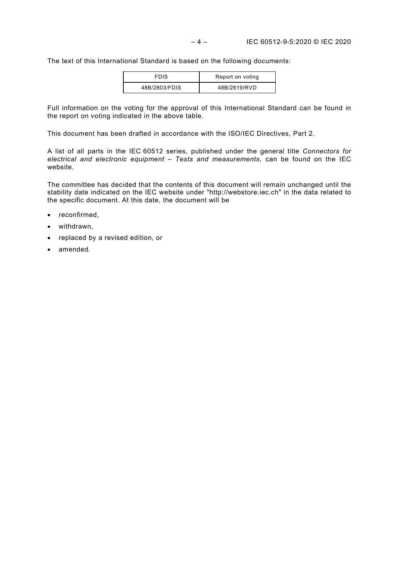The text of this International Standard is based on the following documents:

| <b>FDIS</b>   | Report on voting |
|---------------|------------------|
| 48B/2803/FDIS | 48B/2819/RVD     |

Full information on the voting for the approval of this International Standard can be found in the report on voting indicated in the above table.

This document has been drafted in accordance with the ISO/IEC Directives, Part 2.

A list of all parts in the IEC 60512 series, published under the general title *Connectors for electrical and electronic equipment – Tests and measurements*, can be found on the IEC website.

The committee has decided that the contents of this document will remain unchanged until the stability date indicated on the IEC website under "http://webstore.iec.ch" in the data related to the specific document. At this date, the document will be

- reconfirmed,
- withdrawn,
- replaced by a revised edition, or
- amended.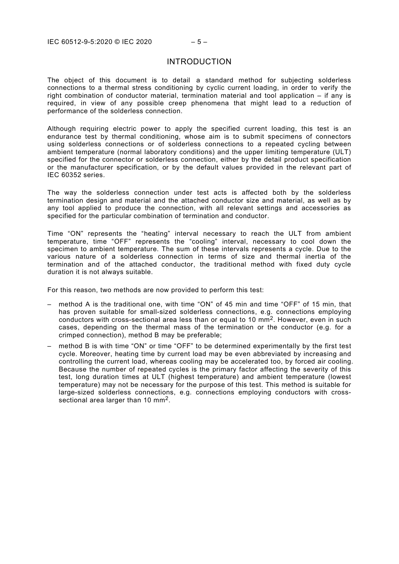## INTRODUCTION

<span id="page-10-0"></span>The object of this document is to detail a standard method for subjecting solderless connections to a thermal stress conditioning by cyclic current loading, in order to verify the right combination of conductor material, termination material and tool application – if any is required, in view of any possible creep phenomena that might lead to a reduction of performance of the solderless connection.

Although requiring electric power to apply the specified current loading, this test is an endurance test by thermal conditioning, whose aim is to submit specimens of connectors using solderless connections or of solderless connections to a repeated cycling between ambient temperature (normal laboratory conditions) and the upper limiting temperature (ULT) specified for the connector or solderless connection, either by the detail product specification or the manufacturer specification, or by the default values provided in the relevant part of IEC 60352 series.

The way the solderless connection under test acts is affected both by the solderless termination design and material and the attached conductor size and material, as well as by any tool applied to produce the connection, with all relevant settings and accessories as specified for the particular combination of termination and conductor.

Time "ON" represents the "heating" interval necessary to reach the ULT from ambient temperature, time "OFF" represents the "cooling" interval, necessary to cool down the specimen to ambient temperature. The sum of these intervals represents a cycle. Due to the various nature of a solderless connection in terms of size and thermal inertia of the termination and of the attached conductor, the traditional method with fixed duty cycle duration it is not always suitable.

For this reason, two methods are now provided to perform this test:

- method A is the traditional one, with time "ON" of 45 min and time "OFF" of 15 min, that has proven suitable for small-sized solderless connections, e.g. connections employing conductors with cross-sectional area less than or equal to 10 mm<sup>2</sup>. However, even in such cases, depending on the thermal mass of the termination or the conductor (e.g. for a crimped connection), method B may be preferable;
- method B is with time "ON" or time "OFF" to be determined experimentally by the first test cycle. Moreover, heating time by current load may be even abbreviated by increasing and controlling the current load, whereas cooling may be accelerated too, by forced air cooling. Because the number of repeated cycles is the primary factor affecting the severity of this test, long duration times at ULT (highest temperature) and ambient temperature (lowest temperature) may not be necessary for the purpose of this test. This method is suitable for large-sized solderless connections, e.g. connections employing conductors with crosssectional area larger than 10 mm2.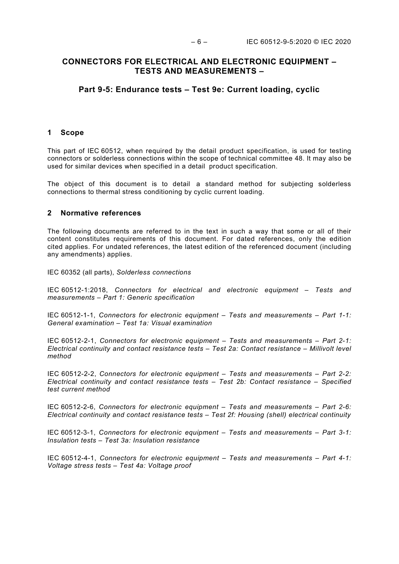# **CONNECTORS FOR ELECTRICAL AND ELECTRONIC EQUIPMENT – TESTS AND MEASUREMENTS –**

## **Part 9-5: Endurance tests – Test 9e: Current loading, cyclic**

#### <span id="page-11-0"></span>**1 Scope**

This part of IEC 60512, when required by the detail product specification, is used for testing connectors or solderless connections within the scope of technical committee 48. It may also be used for similar devices when specified in a detail product specification.

The object of this document is to detail a standard method for subjecting solderless connections to thermal stress conditioning by cyclic current loading.

#### <span id="page-11-1"></span>**2 Normative references**

The following documents are referred to in the text in such a way that some or all of their content constitutes requirements of this document. For dated references, only the edition cited applies. For undated references, the latest edition of the referenced document (including any amendments) applies.

IEC 60352 (all parts), *Solderless connections*

IEC 60512-1:2018, *Connectors for electrical and electronic equipment – Tests and measurements – Part 1: Generic specification*

IEC 60512-1-1, *Connectors for electronic equipment – Tests and measurements – Part 1-1: General examination – Test 1a: Visual examination*

IEC 60512-2-1, *Connectors for electronic equipment – Tests and measurements – Part 2-1: Electrical continuity and contact resistance tests – Test 2a: Contact resistance – Millivolt level method*

IEC 60512-2-2, *Connectors for electronic equipment – Tests and measurements – Part 2-2: Electrical continuity and contact resistance tests – Test 2b: Contact resistance – Specified test current method*

IEC 60512-2-6, *Connectors for electronic equipment – Tests and measurements – Part 2-6: Electrical continuity and contact resistance tests – Test 2f: Housing (shell) electrical continuity*

IEC 60512-3-1, *Connectors for electronic equipment – Tests and measurements – Part 3-1: Insulation tests – Test 3a: Insulation resistance*

<span id="page-11-2"></span>IEC 60512-4-1, *Connectors for electronic equipment – Tests and measurements – Part 4-1: Voltage stress tests – Test 4a: Voltage proof*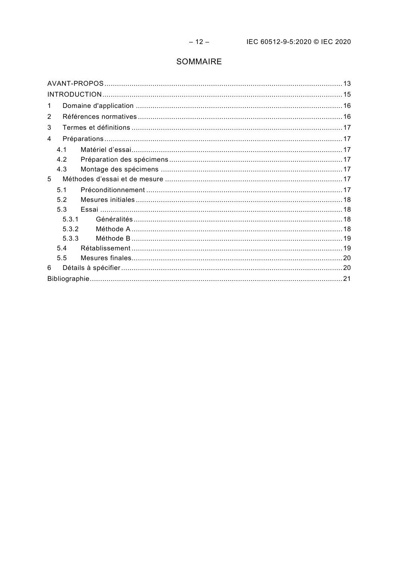# SOMMAIRE

| 1              |       |  |  |  |  |  |
|----------------|-------|--|--|--|--|--|
| 2              |       |  |  |  |  |  |
| 3              |       |  |  |  |  |  |
| 4              |       |  |  |  |  |  |
| 4 <sub>1</sub> |       |  |  |  |  |  |
|                | 4.2   |  |  |  |  |  |
|                | 4.3   |  |  |  |  |  |
| 5              |       |  |  |  |  |  |
|                | 5.1   |  |  |  |  |  |
|                | 5.2   |  |  |  |  |  |
|                | 5.3   |  |  |  |  |  |
|                | 5.3.1 |  |  |  |  |  |
|                | 5.3.2 |  |  |  |  |  |
|                | 5.3.3 |  |  |  |  |  |
|                | 5.4   |  |  |  |  |  |
|                | 5.5   |  |  |  |  |  |
| 6              |       |  |  |  |  |  |
|                |       |  |  |  |  |  |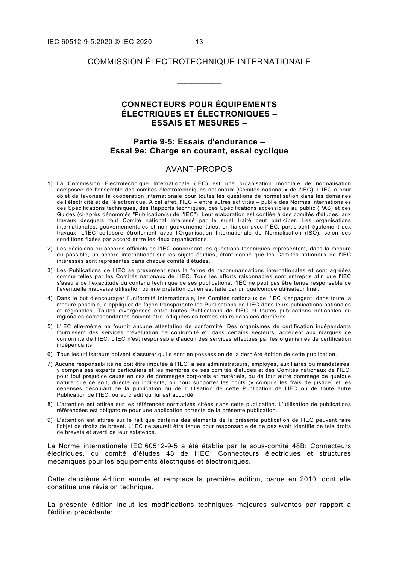## COMMISSION ÉLECTROTECHNIQUE INTERNATIONALE

\_\_\_\_\_\_\_\_\_\_\_\_

# **CONNECTEURS POUR ÉQUIPEMENTS ÉLECTRIQUES ET ÉLECTRONIQUES – ESSAIS ET MESURES –**

# **Partie 9-5: Essais d'endurance – Essai 9e: Charge en courant, essai cyclique**

## AVANT-PROPOS

- <span id="page-13-0"></span>1) La Commission Electrotechnique Internationale (IEC) est une organisation mondiale de normalisation composée de l'ensemble des comités électrotechniques nationaux (Comités nationaux de l'IEC). L'IEC a pour objet de favoriser la coopération internationale pour toutes les questions de normalisation dans les domaines de l'électricité et de l'électronique. A cet effet, l'IEC – entre autres activités – publie des Normes internationales, des Spécifications techniques, des Rapports techniques, des Spécifications accessibles au public (PAS) et des Guides (ci-après dénommés "Publication(s) de l'IEC"). Leur élaboration est confiée à des comités d'études, aux travaux desquels tout Comité national intéressé par le sujet traité peut participer. Les organisations internationales, gouvernementales et non gouvernementales, en liaison avec l'IEC, participent également aux travaux. L'IEC collabore étroitement avec l'Organisation Internationale de Normalisation (ISO), selon des conditions fixées par accord entre les deux organisations.
- 2) Les décisions ou accords officiels de l'IEC concernant les questions techniques représentent, dans la mesure du possible, un accord international sur les sujets étudiés, étant donné que les Comités nationaux de l'IEC intéressés sont représentés dans chaque comité d'études.
- 3) Les Publications de l'IEC se présentent sous la forme de recommandations internationales et sont agréées comme telles par les Comités nationaux de l'IEC. Tous les efforts raisonnables sont entrepris afin que l'IEC s'assure de l'exactitude du contenu technique de ses publications; l'IEC ne peut pas être tenue responsable de l'éventuelle mauvaise utilisation ou interprétation qui en est faite par un quelconque utilisateur final.
- 4) Dans le but d'encourager l'uniformité internationale, les Comités nationaux de l'IEC s'engagent, dans toute la mesure possible, à appliquer de façon transparente les Publications de l'IEC dans leurs publications nationales et régionales. Toutes divergences entre toutes Publications de l'IEC et toutes publications nationales ou régionales correspondantes doivent être indiquées en termes clairs dans ces dernières.
- 5) L'IEC elle-même ne fournit aucune attestation de conformité. Des organismes de certification indépendants fournissent des services d'évaluation de conformité et, dans certains secteurs, accèdent aux marques de conformité de l'IEC. L'IEC n'est responsable d'aucun des services effectués par les organismes de certification indépendants.
- 6) Tous les utilisateurs doivent s'assurer qu'ils sont en possession de la dernière édition de cette publication.
- 7) Aucune responsabilité ne doit être imputée à l'IEC, à ses administrateurs, employés, auxiliaires ou mandataires, y compris ses experts particuliers et les membres de ses comités d'études et des Comités nationaux de l'IEC, pour tout préjudice causé en cas de dommages corporels et matériels, ou de tout autre dommage de quelque nature que ce soit, directe ou indirecte, ou pour supporter les coûts (y compris les frais de justice) et les dépenses découlant de la publication ou de l'utilisation de cette Publication de l'IEC ou de toute autre Publication de l'IEC, ou au crédit qui lui est accordé.
- 8) L'attention est attirée sur les références normatives citées dans cette publication. L'utilisation de publications référencées est obligatoire pour une application correcte de la présente publication.
- 9) L'attention est attirée sur le fait que certains des éléments de la présente publication de l'IEC peuvent faire l'objet de droits de brevet. L'IEC ne saurait être tenue pour responsable de ne pas avoir identifié de tels droits de brevets et averti de leur existence.

La Norme internationale IEC 60512-9-5 a été établie par le sous-comité 48B: Connecteurs électriques, du comité d'études 48 de l'IEC: Connecteurs électriques et structures mécaniques pour les équipements électriques et électroniques.

Cette deuxième édition annule et remplace la première édition, parue en 2010, dont elle constitue une révision technique.

La présente édition inclut les modifications techniques majeures suivantes par rapport à l'édition précédente: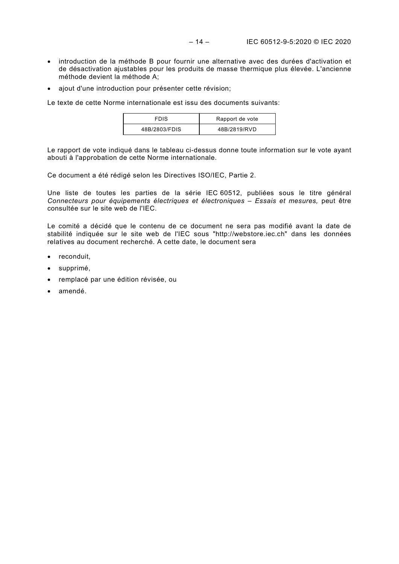- introduction de la méthode B pour fournir une alternative avec des durées d'activation et de désactivation ajustables pour les produits de masse thermique plus élevée. L'ancienne méthode devient la méthode A;
- ajout d'une introduction pour présenter cette révision;

Le texte de cette Norme internationale est issu des documents suivants:

| <b>FDIS</b>   | Rapport de vote |
|---------------|-----------------|
| 48B/2803/FDIS | 48B/2819/RVD    |

Le rapport de vote indiqué dans le tableau ci-dessus donne toute information sur le vote ayant abouti à l'approbation de cette Norme internationale.

Ce document a été rédigé selon les Directives ISO/IEC, Partie 2.

Une liste de toutes les parties de la série IEC 60512, publiées sous le titre général *Connecteurs pour équipements électriques et électroniques – Essais et mesures,* peut être consultée sur le site web de l'IEC.

Le comité a décidé que le contenu de ce document ne sera pas modifié avant la date de stabilité indiquée sur le site web de l'IEC sous "http://webstore.iec.ch" dans les données relatives au document recherché. A cette date, le document sera

- reconduit,
- supprimé,
- remplacé par une édition révisée, ou
- amendé.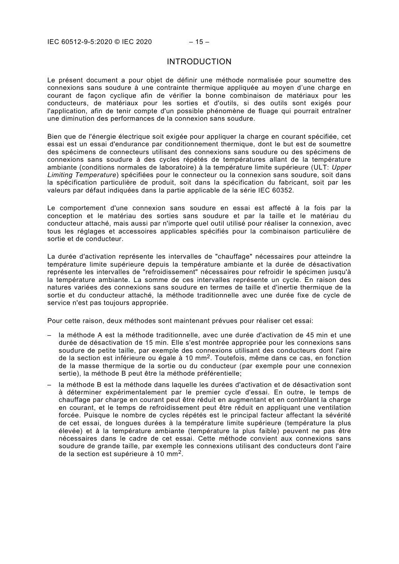### INTRODUCTION

<span id="page-15-0"></span>Le présent document a pour objet de définir une méthode normalisée pour soumettre des connexions sans soudure à une contrainte thermique appliquée au moyen d'une charge en courant de façon cyclique afin de vérifier la bonne combinaison de matériaux pour les conducteurs, de matériaux pour les sorties et d'outils, si des outils sont exigés pour l'application, afin de tenir compte d'un possible phénomène de fluage qui pourrait entraîner une diminution des performances de la connexion sans soudure.

Bien que de l'énergie électrique soit exigée pour appliquer la charge en courant spécifiée, cet essai est un essai d'endurance par conditionnement thermique, dont le but est de soumettre des spécimens de connecteurs utilisant des connexions sans soudure ou des spécimens de connexions sans soudure à des cycles répétés de températures allant de la température ambiante (conditions normales de laboratoire) à la température limite supérieure (ULT: *Upper Limiting Temperature*) spécifiées pour le connecteur ou la connexion sans soudure, soit dans la spécification particulière de produit, soit dans la spécification du fabricant, soit par les valeurs par défaut indiquées dans la partie applicable de la série IEC 60352.

Le comportement d'une connexion sans soudure en essai est affecté à la fois par la conception et le matériau des sorties sans soudure et par la taille et le matériau du conducteur attaché, mais aussi par n'importe quel outil utilisé pour réaliser la connexion, avec tous les réglages et accessoires applicables spécifiés pour la combinaison particulière de sortie et de conducteur.

La durée d'activation représente les intervalles de "chauffage" nécessaires pour atteindre la température limite supérieure depuis la température ambiante et la durée de désactivation représente les intervalles de "refroidissement" nécessaires pour refroidir le spécimen jusqu'à la température ambiante. La somme de ces intervalles représente un cycle. En raison des natures variées des connexions sans soudure en termes de taille et d'inertie thermique de la sortie et du conducteur attaché, la méthode traditionnelle avec une durée fixe de cycle de service n'est pas toujours appropriée.

Pour cette raison, deux méthodes sont maintenant prévues pour réaliser cet essai:

- la méthode A est la méthode traditionnelle, avec une durée d'activation de 45 min et une durée de désactivation de 15 min. Elle s'est montrée appropriée pour les connexions sans soudure de petite taille, par exemple des connexions utilisant des conducteurs dont l'aire de la section est inférieure ou égale à 10 mm2. Toutefois, même dans ce cas, en fonction de la masse thermique de la sortie ou du conducteur (par exemple pour une connexion sertie), la méthode B peut être la méthode préférentielle;
- la méthode B est la méthode dans laquelle les durées d'activation et de désactivation sont à déterminer expérimentalement par le premier cycle d'essai. En outre, le temps de chauffage par charge en courant peut être réduit en augmentant et en contrôlant la charge en courant, et le temps de refroidissement peut être réduit en appliquant une ventilation forcée. Puisque le nombre de cycles répétés est le principal facteur affectant la sévérité de cet essai, de longues durées à la température limite supérieure (température la plus élevée) et à la température ambiante (température la plus faible) peuvent ne pas être nécessaires dans le cadre de cet essai. Cette méthode convient aux connexions sans soudure de grande taille, par exemple les connexions utilisant des conducteurs dont l'aire de la section est supérieure à 10 mm2.